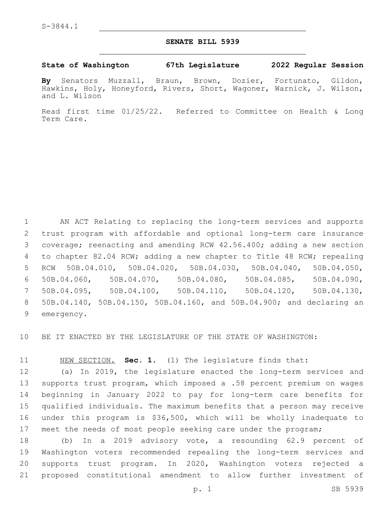## **SENATE BILL 5939**

## **State of Washington 67th Legislature 2022 Regular Session**

**By** Senators Muzzall, Braun, Brown, Dozier, Fortunato, Gildon, Hawkins, Holy, Honeyford, Rivers, Short, Wagoner, Warnick, J. Wilson, and L. Wilson

Read first time 01/25/22. Referred to Committee on Health & Long Term Care.

 AN ACT Relating to replacing the long-term services and supports trust program with affordable and optional long-term care insurance coverage; reenacting and amending RCW 42.56.400; adding a new section to chapter 82.04 RCW; adding a new chapter to Title 48 RCW; repealing RCW 50B.04.010, 50B.04.020, 50B.04.030, 50B.04.040, 50B.04.050, 50B.04.060, 50B.04.070, 50B.04.080, 50B.04.085, 50B.04.090, 50B.04.095, 50B.04.100, 50B.04.110, 50B.04.120, 50B.04.130, 50B.04.140, 50B.04.150, 50B.04.160, and 50B.04.900; and declaring an 9 emergency.

BE IT ENACTED BY THE LEGISLATURE OF THE STATE OF WASHINGTON:

NEW SECTION. **Sec. 1.** (1) The legislature finds that:

 (a) In 2019, the legislature enacted the long-term services and supports trust program, which imposed a .58 percent premium on wages beginning in January 2022 to pay for long-term care benefits for qualified individuals. The maximum benefits that a person may receive under this program is \$36,500, which will be wholly inadequate to 17 meet the needs of most people seeking care under the program;

 (b) In a 2019 advisory vote, a resounding 62.9 percent of Washington voters recommended repealing the long-term services and supports trust program. In 2020, Washington voters rejected a proposed constitutional amendment to allow further investment of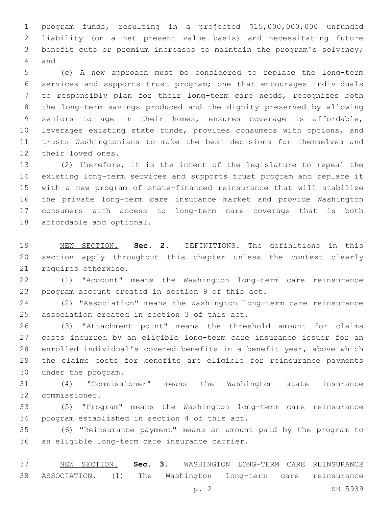program funds, resulting in a projected \$15,000,000,000 unfunded liability (on a net present value basis) and necessitating future benefit cuts or premium increases to maintain the program's solvency; 4 and

 (c) A new approach must be considered to replace the long-term services and supports trust program; one that encourages individuals to responsibly plan for their long-term care needs, recognizes both the long-term savings produced and the dignity preserved by allowing seniors to age in their homes, ensures coverage is affordable, leverages existing state funds, provides consumers with options, and trusts Washingtonians to make the best decisions for themselves and 12 their loved ones.

 (2) Therefore, it is the intent of the legislature to repeal the existing long-term services and supports trust program and replace it with a new program of state-financed reinsurance that will stabilize the private long-term care insurance market and provide Washington consumers with access to long-term care coverage that is both 18 affordable and optional.

 NEW SECTION. **Sec. 2.** DEFINITIONS. The definitions in this section apply throughout this chapter unless the context clearly requires otherwise.

 (1) "Account" means the Washington long-term care reinsurance 23 program account created in section 9 of this act.

 (2) "Association" means the Washington long-term care reinsurance 25 association created in section 3 of this act.

 (3) "Attachment point" means the threshold amount for claims costs incurred by an eligible long-term care insurance issuer for an enrolled individual's covered benefits in a benefit year, above which the claims costs for benefits are eligible for reinsurance payments under the program.30

 (4) "Commissioner" means the Washington state insurance 32 commissioner.

 (5) "Program" means the Washington long-term care reinsurance 34 program established in section 4 of this act.

 (6) "Reinsurance payment" means an amount paid by the program to 36 an eligible long-term care insurance carrier.

 NEW SECTION. **Sec. 3.** WASHINGTON LONG-TERM CARE REINSURANCE ASSOCIATION. (1) The Washington long-term care reinsurance

p. 2 SB 5939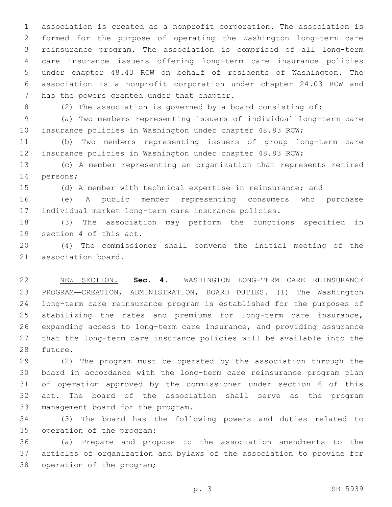association is created as a nonprofit corporation. The association is formed for the purpose of operating the Washington long-term care reinsurance program. The association is comprised of all long-term care insurance issuers offering long-term care insurance policies under chapter 48.43 RCW on behalf of residents of Washington. The association is a nonprofit corporation under chapter 24.03 RCW and 7 has the powers granted under that chapter.

(2) The association is governed by a board consisting of:

 (a) Two members representing issuers of individual long-term care insurance policies in Washington under chapter 48.83 RCW;

 (b) Two members representing issuers of group long-term care insurance policies in Washington under chapter 48.83 RCW;

 (c) A member representing an organization that represents retired 14 persons;

(d) A member with technical expertise in reinsurance; and

 (e) A public member representing consumers who purchase individual market long-term care insurance policies.

 (3) The association may perform the functions specified in 19 section 4 of this act.

 (4) The commissioner shall convene the initial meeting of the 21 association board.

 NEW SECTION. **Sec. 4.** WASHINGTON LONG-TERM CARE REINSURANCE PROGRAM—CREATION, ADMINISTRATION, BOARD DUTIES. (1) The Washington long-term care reinsurance program is established for the purposes of stabilizing the rates and premiums for long-term care insurance, expanding access to long-term care insurance, and providing assurance that the long-term care insurance policies will be available into the future.

 (2) The program must be operated by the association through the board in accordance with the long-term care reinsurance program plan of operation approved by the commissioner under section 6 of this act. The board of the association shall serve as the program 33 management board for the program.

 (3) The board has the following powers and duties related to 35 operation of the program:

 (a) Prepare and propose to the association amendments to the articles of organization and bylaws of the association to provide for 38 operation of the program;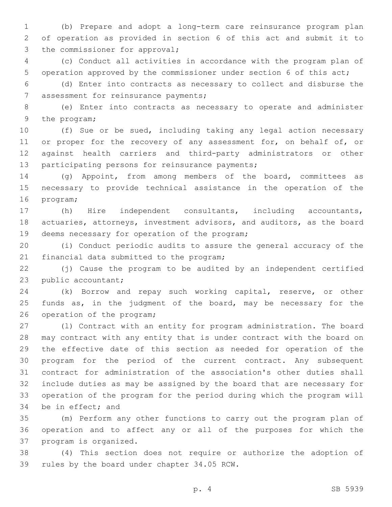1 (b) Prepare and adopt a long-term care reinsurance program plan 2 of operation as provided in section 6 of this act and submit it to 3 the commissioner for approval;

4 (c) Conduct all activities in accordance with the program plan of 5 operation approved by the commissioner under section 6 of this act;

6 (d) Enter into contracts as necessary to collect and disburse the 7 assessment for reinsurance payments;

8 (e) Enter into contracts as necessary to operate and administer 9 the program;

10 (f) Sue or be sued, including taking any legal action necessary 11 or proper for the recovery of any assessment for, on behalf of, or 12 against health carriers and third-party administrators or other 13 participating persons for reinsurance payments;

14 (g) Appoint, from among members of the board, committees as 15 necessary to provide technical assistance in the operation of the 16 program;

17 (h) Hire independent consultants, including accountants, 18 actuaries, attorneys, investment advisors, and auditors, as the board 19 deems necessary for operation of the program;

20 (i) Conduct periodic audits to assure the general accuracy of the 21 financial data submitted to the program;

22 (j) Cause the program to be audited by an independent certified 23 public accountant;

24 (k) Borrow and repay such working capital, reserve, or other 25 funds as, in the judgment of the board, may be necessary for the 26 operation of the program;

 (l) Contract with an entity for program administration. The board may contract with any entity that is under contract with the board on the effective date of this section as needed for operation of the program for the period of the current contract. Any subsequent contract for administration of the association's other duties shall include duties as may be assigned by the board that are necessary for operation of the program for the period during which the program will 34 be in effect; and

35 (m) Perform any other functions to carry out the program plan of 36 operation and to affect any or all of the purposes for which the 37 program is organized.

38 (4) This section does not require or authorize the adoption of 39 rules by the board under chapter 34.05 RCW.

p. 4 SB 5939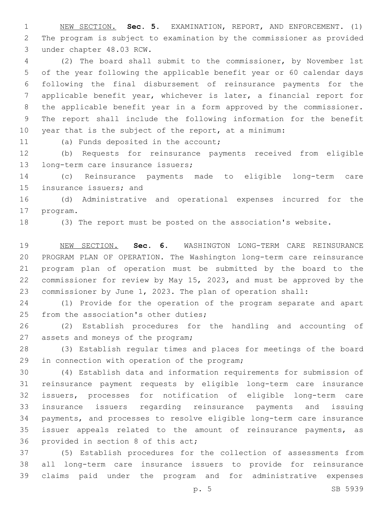NEW SECTION. **Sec. 5.** EXAMINATION, REPORT, AND ENFORCEMENT. (1) The program is subject to examination by the commissioner as provided under chapter 48.03 RCW.

 (2) The board shall submit to the commissioner, by November 1st of the year following the applicable benefit year or 60 calendar days following the final disbursement of reinsurance payments for the applicable benefit year, whichever is later, a financial report for the applicable benefit year in a form approved by the commissioner. The report shall include the following information for the benefit year that is the subject of the report, at a minimum:

11 (a) Funds deposited in the account;

 (b) Requests for reinsurance payments received from eligible 13 long-term care insurance issuers;

 (c) Reinsurance payments made to eligible long-term care 15 insurance issuers; and

 (d) Administrative and operational expenses incurred for the 17 program.

(3) The report must be posted on the association's website.

 NEW SECTION. **Sec. 6.** WASHINGTON LONG-TERM CARE REINSURANCE PROGRAM PLAN OF OPERATION. The Washington long-term care reinsurance program plan of operation must be submitted by the board to the commissioner for review by May 15, 2023, and must be approved by the commissioner by June 1, 2023. The plan of operation shall:

 (1) Provide for the operation of the program separate and apart 25 from the association's other duties;

 (2) Establish procedures for the handling and accounting of 27 assets and moneys of the program;

 (3) Establish regular times and places for meetings of the board 29 in connection with operation of the program;

 (4) Establish data and information requirements for submission of reinsurance payment requests by eligible long-term care insurance issuers, processes for notification of eligible long-term care insurance issuers regarding reinsurance payments and issuing payments, and processes to resolve eligible long-term care insurance issuer appeals related to the amount of reinsurance payments, as 36 provided in section 8 of this act;

 (5) Establish procedures for the collection of assessments from all long-term care insurance issuers to provide for reinsurance claims paid under the program and for administrative expenses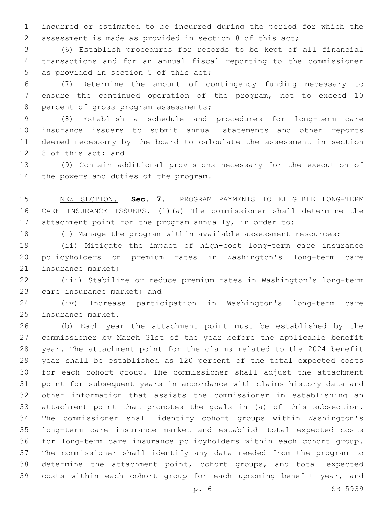incurred or estimated to be incurred during the period for which the assessment is made as provided in section 8 of this act;

 (6) Establish procedures for records to be kept of all financial transactions and for an annual fiscal reporting to the commissioner 5 as provided in section 5 of this act;

 (7) Determine the amount of contingency funding necessary to ensure the continued operation of the program, not to exceed 10 8 percent of gross program assessments;

 (8) Establish a schedule and procedures for long-term care insurance issuers to submit annual statements and other reports deemed necessary by the board to calculate the assessment in section 12 8 of this act; and

 (9) Contain additional provisions necessary for the execution of 14 the powers and duties of the program.

 NEW SECTION. **Sec. 7.** PROGRAM PAYMENTS TO ELIGIBLE LONG-TERM CARE INSURANCE ISSUERS. (1)(a) The commissioner shall determine the attachment point for the program annually, in order to:

(i) Manage the program within available assessment resources;

 (ii) Mitigate the impact of high-cost long-term care insurance policyholders on premium rates in Washington's long-term care 21 insurance market:

 (iii) Stabilize or reduce premium rates in Washington's long-term 23 care insurance market; and

 (iv) Increase participation in Washington's long-term care 25 insurance market.

 (b) Each year the attachment point must be established by the commissioner by March 31st of the year before the applicable benefit year. The attachment point for the claims related to the 2024 benefit year shall be established as 120 percent of the total expected costs for each cohort group. The commissioner shall adjust the attachment point for subsequent years in accordance with claims history data and other information that assists the commissioner in establishing an attachment point that promotes the goals in (a) of this subsection. The commissioner shall identify cohort groups within Washington's long-term care insurance market and establish total expected costs for long-term care insurance policyholders within each cohort group. The commissioner shall identify any data needed from the program to determine the attachment point, cohort groups, and total expected 39 costs within each cohort group for each upcoming benefit year, and

p. 6 SB 5939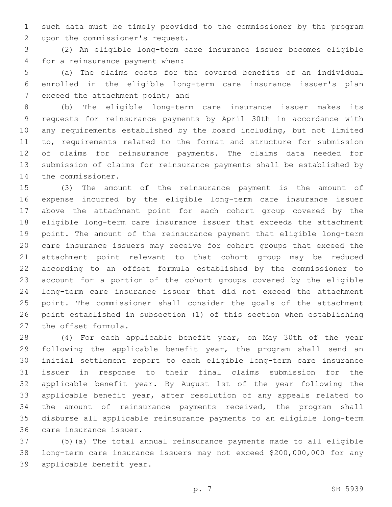such data must be timely provided to the commissioner by the program 2 upon the commissioner's request.

 (2) An eligible long-term care insurance issuer becomes eligible 4 for a reinsurance payment when:

 (a) The claims costs for the covered benefits of an individual enrolled in the eligible long-term care insurance issuer's plan 7 exceed the attachment point; and

 (b) The eligible long-term care insurance issuer makes its requests for reinsurance payments by April 30th in accordance with any requirements established by the board including, but not limited 11 to, requirements related to the format and structure for submission of claims for reinsurance payments. The claims data needed for submission of claims for reinsurance payments shall be established by 14 the commissioner.

 (3) The amount of the reinsurance payment is the amount of expense incurred by the eligible long-term care insurance issuer above the attachment point for each cohort group covered by the eligible long-term care insurance issuer that exceeds the attachment point. The amount of the reinsurance payment that eligible long-term care insurance issuers may receive for cohort groups that exceed the attachment point relevant to that cohort group may be reduced according to an offset formula established by the commissioner to account for a portion of the cohort groups covered by the eligible long-term care insurance issuer that did not exceed the attachment point. The commissioner shall consider the goals of the attachment point established in subsection (1) of this section when establishing 27 the offset formula.

 (4) For each applicable benefit year, on May 30th of the year 29 following the applicable benefit year, the program shall send an initial settlement report to each eligible long-term care insurance issuer in response to their final claims submission for the applicable benefit year. By August 1st of the year following the applicable benefit year, after resolution of any appeals related to the amount of reinsurance payments received, the program shall disburse all applicable reinsurance payments to an eligible long-term 36 care insurance issuer.

 (5)(a) The total annual reinsurance payments made to all eligible long-term care insurance issuers may not exceed \$200,000,000 for any 39 applicable benefit year.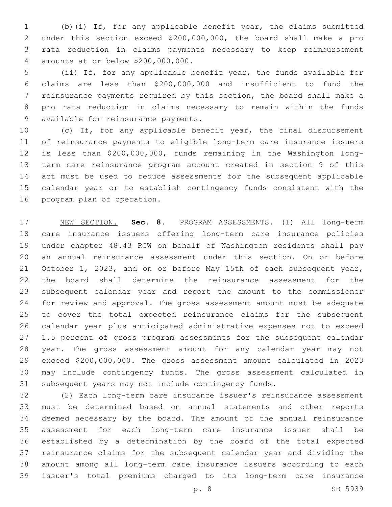(b)(i) If, for any applicable benefit year, the claims submitted under this section exceed \$200,000,000, the board shall make a pro rata reduction in claims payments necessary to keep reimbursement amounts at or below \$200,000,000.4

 (ii) If, for any applicable benefit year, the funds available for claims are less than \$200,000,000 and insufficient to fund the reinsurance payments required by this section, the board shall make a pro rata reduction in claims necessary to remain within the funds 9 available for reinsurance payments.

 (c) If, for any applicable benefit year, the final disbursement of reinsurance payments to eligible long-term care insurance issuers is less than \$200,000,000, funds remaining in the Washington long- term care reinsurance program account created in section 9 of this act must be used to reduce assessments for the subsequent applicable calendar year or to establish contingency funds consistent with the 16 program plan of operation.

 NEW SECTION. **Sec. 8.** PROGRAM ASSESSMENTS. (1) All long-term care insurance issuers offering long-term care insurance policies under chapter 48.43 RCW on behalf of Washington residents shall pay an annual reinsurance assessment under this section. On or before October 1, 2023, and on or before May 15th of each subsequent year, the board shall determine the reinsurance assessment for the subsequent calendar year and report the amount to the commissioner for review and approval. The gross assessment amount must be adequate to cover the total expected reinsurance claims for the subsequent calendar year plus anticipated administrative expenses not to exceed 1.5 percent of gross program assessments for the subsequent calendar year. The gross assessment amount for any calendar year may not exceed \$200,000,000. The gross assessment amount calculated in 2023 may include contingency funds. The gross assessment calculated in subsequent years may not include contingency funds.

 (2) Each long-term care insurance issuer's reinsurance assessment must be determined based on annual statements and other reports deemed necessary by the board. The amount of the annual reinsurance assessment for each long-term care insurance issuer shall be established by a determination by the board of the total expected reinsurance claims for the subsequent calendar year and dividing the amount among all long-term care insurance issuers according to each issuer's total premiums charged to its long-term care insurance

p. 8 SB 5939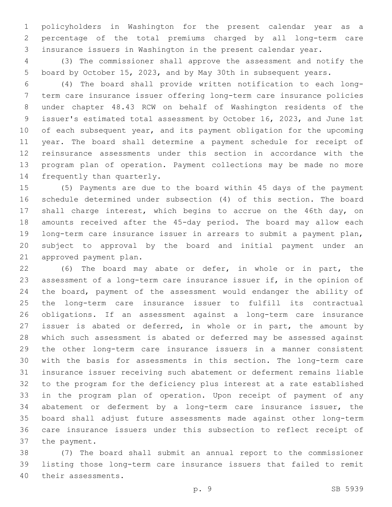policyholders in Washington for the present calendar year as a percentage of the total premiums charged by all long-term care insurance issuers in Washington in the present calendar year.

 (3) The commissioner shall approve the assessment and notify the board by October 15, 2023, and by May 30th in subsequent years.

 (4) The board shall provide written notification to each long- term care insurance issuer offering long-term care insurance policies under chapter 48.43 RCW on behalf of Washington residents of the issuer's estimated total assessment by October 16, 2023, and June 1st 10 of each subsequent year, and its payment obligation for the upcoming year. The board shall determine a payment schedule for receipt of reinsurance assessments under this section in accordance with the program plan of operation. Payment collections may be made no more 14 frequently than quarterly.

 (5) Payments are due to the board within 45 days of the payment schedule determined under subsection (4) of this section. The board 17 shall charge interest, which begins to accrue on the 46th day, on amounts received after the 45-day period. The board may allow each long-term care insurance issuer in arrears to submit a payment plan, subject to approval by the board and initial payment under an 21 approved payment plan.

 (6) The board may abate or defer, in whole or in part, the assessment of a long-term care insurance issuer if, in the opinion of the board, payment of the assessment would endanger the ability of the long-term care insurance issuer to fulfill its contractual obligations. If an assessment against a long-term care insurance issuer is abated or deferred, in whole or in part, the amount by which such assessment is abated or deferred may be assessed against the other long-term care insurance issuers in a manner consistent with the basis for assessments in this section. The long-term care insurance issuer receiving such abatement or deferment remains liable to the program for the deficiency plus interest at a rate established in the program plan of operation. Upon receipt of payment of any abatement or deferment by a long-term care insurance issuer, the board shall adjust future assessments made against other long-term care insurance issuers under this subsection to reflect receipt of 37 the payment.

 (7) The board shall submit an annual report to the commissioner listing those long-term care insurance issuers that failed to remit 40 their assessments.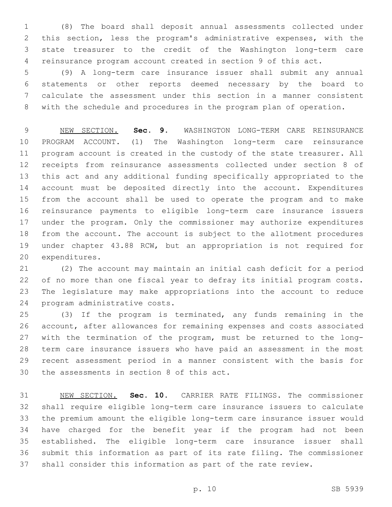(8) The board shall deposit annual assessments collected under this section, less the program's administrative expenses, with the state treasurer to the credit of the Washington long-term care reinsurance program account created in section 9 of this act.

 (9) A long-term care insurance issuer shall submit any annual statements or other reports deemed necessary by the board to calculate the assessment under this section in a manner consistent with the schedule and procedures in the program plan of operation.

 NEW SECTION. **Sec. 9.** WASHINGTON LONG-TERM CARE REINSURANCE PROGRAM ACCOUNT. (1) The Washington long-term care reinsurance program account is created in the custody of the state treasurer. All receipts from reinsurance assessments collected under section 8 of this act and any additional funding specifically appropriated to the account must be deposited directly into the account. Expenditures from the account shall be used to operate the program and to make reinsurance payments to eligible long-term care insurance issuers under the program. Only the commissioner may authorize expenditures from the account. The account is subject to the allotment procedures under chapter 43.88 RCW, but an appropriation is not required for expenditures.

 (2) The account may maintain an initial cash deficit for a period of no more than one fiscal year to defray its initial program costs. The legislature may make appropriations into the account to reduce 24 program administrative costs.

 (3) If the program is terminated, any funds remaining in the account, after allowances for remaining expenses and costs associated with the termination of the program, must be returned to the long- term care insurance issuers who have paid an assessment in the most recent assessment period in a manner consistent with the basis for 30 the assessments in section 8 of this act.

 NEW SECTION. **Sec. 10.** CARRIER RATE FILINGS. The commissioner shall require eligible long-term care insurance issuers to calculate the premium amount the eligible long-term care insurance issuer would have charged for the benefit year if the program had not been established. The eligible long-term care insurance issuer shall submit this information as part of its rate filing. The commissioner shall consider this information as part of the rate review.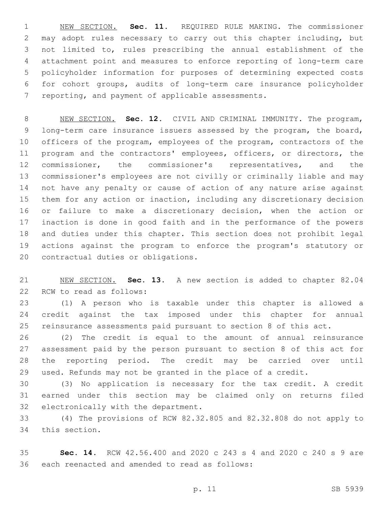NEW SECTION. **Sec. 11.** REQUIRED RULE MAKING. The commissioner may adopt rules necessary to carry out this chapter including, but not limited to, rules prescribing the annual establishment of the attachment point and measures to enforce reporting of long-term care policyholder information for purposes of determining expected costs for cohort groups, audits of long-term care insurance policyholder reporting, and payment of applicable assessments.

 NEW SECTION. **Sec. 12.** CIVIL AND CRIMINAL IMMUNITY. The program, long-term care insurance issuers assessed by the program, the board, officers of the program, employees of the program, contractors of the program and the contractors' employees, officers, or directors, the commissioner, the commissioner's representatives, and the commissioner's employees are not civilly or criminally liable and may not have any penalty or cause of action of any nature arise against them for any action or inaction, including any discretionary decision or failure to make a discretionary decision, when the action or inaction is done in good faith and in the performance of the powers and duties under this chapter. This section does not prohibit legal actions against the program to enforce the program's statutory or contractual duties or obligations.

 NEW SECTION. **Sec. 13.** A new section is added to chapter 82.04 22 RCW to read as follows:

 (1) A person who is taxable under this chapter is allowed a credit against the tax imposed under this chapter for annual reinsurance assessments paid pursuant to section 8 of this act.

 (2) The credit is equal to the amount of annual reinsurance assessment paid by the person pursuant to section 8 of this act for the reporting period. The credit may be carried over until used. Refunds may not be granted in the place of a credit.

 (3) No application is necessary for the tax credit. A credit earned under this section may be claimed only on returns filed 32 electronically with the department.

 (4) The provisions of RCW 82.32.805 and 82.32.808 do not apply to 34 this section.

 **Sec. 14.** RCW 42.56.400 and 2020 c 243 s 4 and 2020 c 240 s 9 are 36 each reenacted and amended to read as follows: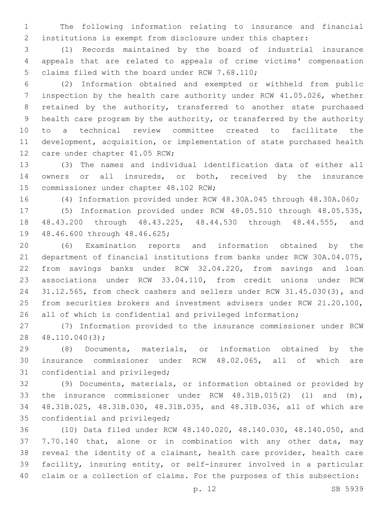The following information relating to insurance and financial institutions is exempt from disclosure under this chapter:

 (1) Records maintained by the board of industrial insurance appeals that are related to appeals of crime victims' compensation 5 claims filed with the board under RCW 7.68.110;

 (2) Information obtained and exempted or withheld from public inspection by the health care authority under RCW 41.05.026, whether 8 retained by the authority, transferred to another state purchased health care program by the authority, or transferred by the authority to a technical review committee created to facilitate the development, acquisition, or implementation of state purchased health 12 care under chapter 41.05 RCW;

 (3) The names and individual identification data of either all owners or all insureds, or both, received by the insurance 15 commissioner under chapter 48.102 RCW;

(4) Information provided under RCW 48.30A.045 through 48.30A.060;

 (5) Information provided under RCW 48.05.510 through 48.05.535, 48.43.200 through 48.43.225, 48.44.530 through 48.44.555, and 19 48.46.600 through 48.46.625;

 (6) Examination reports and information obtained by the department of financial institutions from banks under RCW 30A.04.075, from savings banks under RCW 32.04.220, from savings and loan associations under RCW 33.04.110, from credit unions under RCW 31.12.565, from check cashers and sellers under RCW 31.45.030(3), and from securities brokers and investment advisers under RCW 21.20.100, all of which is confidential and privileged information;

 (7) Information provided to the insurance commissioner under RCW 48.110.040(3);28

 (8) Documents, materials, or information obtained by the insurance commissioner under RCW 48.02.065, all of which are 31 confidential and privileged;

 (9) Documents, materials, or information obtained or provided by the insurance commissioner under RCW 48.31B.015(2) (l) and (m), 48.31B.025, 48.31B.030, 48.31B.035, and 48.31B.036, all of which are 35 confidential and privileged;

 (10) Data filed under RCW 48.140.020, 48.140.030, 48.140.050, and 7.70.140 that, alone or in combination with any other data, may reveal the identity of a claimant, health care provider, health care facility, insuring entity, or self-insurer involved in a particular claim or a collection of claims. For the purposes of this subsection: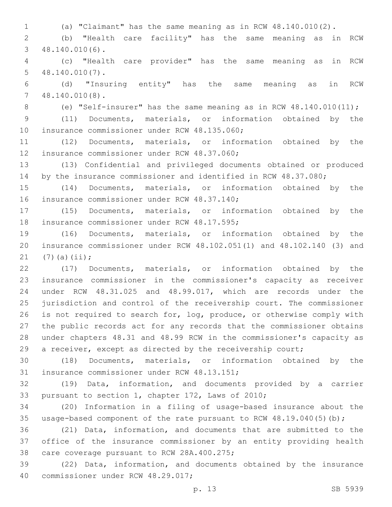(a) "Claimant" has the same meaning as in RCW 48.140.010(2). (b) "Health care facility" has the same meaning as in RCW 48.140.010(6).3 (c) "Health care provider" has the same meaning as in RCW 48.140.010(7).5 (d) "Insuring entity" has the same meaning as in RCW 48.140.010(8).7 (e) "Self-insurer" has the same meaning as in RCW 48.140.010(11); (11) Documents, materials, or information obtained by the 10 insurance commissioner under RCW 48.135.060; (12) Documents, materials, or information obtained by the 12 insurance commissioner under RCW 48.37.060; (13) Confidential and privileged documents obtained or produced by the insurance commissioner and identified in RCW 48.37.080; (14) Documents, materials, or information obtained by the

16 insurance commissioner under RCW 48.37.140;

 (15) Documents, materials, or information obtained by the 18 insurance commissioner under RCW 48.17.595;

 (16) Documents, materials, or information obtained by the insurance commissioner under RCW 48.102.051(1) and 48.102.140 (3) and 21  $(7)(a)(ii);$ 

 (17) Documents, materials, or information obtained by the insurance commissioner in the commissioner's capacity as receiver under RCW 48.31.025 and 48.99.017, which are records under the jurisdiction and control of the receivership court. The commissioner is not required to search for, log, produce, or otherwise comply with the public records act for any records that the commissioner obtains under chapters 48.31 and 48.99 RCW in the commissioner's capacity as a receiver, except as directed by the receivership court;

 (18) Documents, materials, or information obtained by the 31 insurance commissioner under RCW 48.13.151;

 (19) Data, information, and documents provided by a carrier 33 pursuant to section 1, chapter 172, Laws of 2010;

 (20) Information in a filing of usage-based insurance about the usage-based component of the rate pursuant to RCW 48.19.040(5)(b);

 (21) Data, information, and documents that are submitted to the office of the insurance commissioner by an entity providing health 38 care coverage pursuant to RCW 28A.400.275;

 (22) Data, information, and documents obtained by the insurance 40 commissioner under RCW 48.29.017;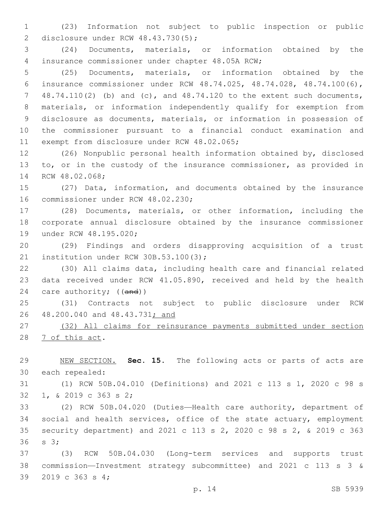(23) Information not subject to public inspection or public 2 disclosure under RCW 48.43.730(5);

 (24) Documents, materials, or information obtained by the insurance commissioner under chapter 48.05A RCW;4

 (25) Documents, materials, or information obtained by the insurance commissioner under RCW 48.74.025, 48.74.028, 48.74.100(6), 48.74.110(2) (b) and (c), and 48.74.120 to the extent such documents, materials, or information independently qualify for exemption from disclosure as documents, materials, or information in possession of the commissioner pursuant to a financial conduct examination and 11 exempt from disclosure under RCW 48.02.065;

 (26) Nonpublic personal health information obtained by, disclosed to, or in the custody of the insurance commissioner, as provided in 14 RCW 48.02.068;

 (27) Data, information, and documents obtained by the insurance 16 commissioner under RCW 48.02.230;

 (28) Documents, materials, or other information, including the corporate annual disclosure obtained by the insurance commissioner 19 under RCW 48.195.020;

 (29) Findings and orders disapproving acquisition of a trust 21 institution under RCW 30B.53.100(3);

 (30) All claims data, including health care and financial related data received under RCW 41.05.890, received and held by the health 24 care authority; ((and))

 (31) Contracts not subject to public disclosure under RCW 48.200.040 and 48.43.731; and

 (32) All claims for reinsurance payments submitted under section 28 7 of this act.

 NEW SECTION. **Sec. 15.** The following acts or parts of acts are each repealed:

 (1) RCW 50B.04.010 (Definitions) and 2021 c 113 s 1, 2020 c 98 s 32 1, & 2019 c 363 s 2;

 (2) RCW 50B.04.020 (Duties—Health care authority, department of social and health services, office of the state actuary, employment security department) and 2021 c 113 s 2, 2020 c 98 s 2, & 2019 c 363 36 s 3;

 (3) RCW 50B.04.030 (Long-term services and supports trust commission—Investment strategy subcommittee) and 2021 c 113 s 3 & 39 2019 c 363 s 4: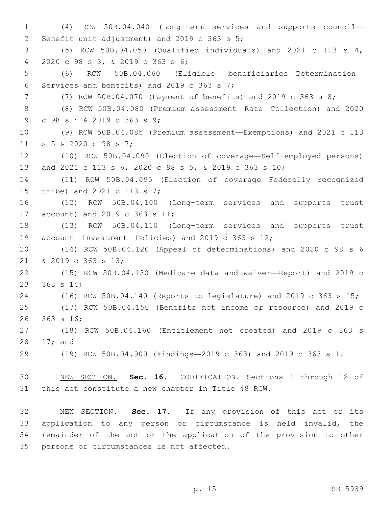(4) RCW 50B.04.040 (Long-term services and supports council— 2 Benefit unit adjustment) and 2019 c 363 s 5; (5) RCW 50B.04.050 (Qualified individuals) and 2021 c 113 s 4, 2020 c 98 s 3, & 2019 c 363 s 6;4 (6) RCW 50B.04.060 (Eligible beneficiaries—Determination— 6 Services and benefits) and 2019 c 363 s 7; (7) RCW 50B.04.070 (Payment of benefits) and 2019 c 363 s 8; (8) RCW 50B.04.080 (Premium assessment—Rate—Collection) and 2020 9 c 98 s 4 & 2019 c 363 s 9; (9) RCW 50B.04.085 (Premium assessment—Exemptions) and 2021 c 113 11 s 5 & 2020 c 98 s 7; (10) RCW 50B.04.090 (Election of coverage—Self-employed persons) and 2021 c 113 s 6, 2020 c 98 s 5, & 2019 c 363 s 10; (11) RCW 50B.04.095 (Election of coverage—Federally recognized 15 tribe) and 2021 c 113 s 7; (12) RCW 50B.04.100 (Long-term services and supports trust 17 account) and 2019 c 363 s 11; (13) RCW 50B.04.110 (Long-term services and supports trust account—Investment—Policies) and 2019 c 363 s 12; (14) RCW 50B.04.120 (Appeal of determinations) and 2020 c 98 s 6 21 & 2019 c 363 s 13; (15) RCW 50B.04.130 (Medicare data and waiver—Report) and 2019 c 23 363 s 14; (16) RCW 50B.04.140 (Reports to legislature) and 2019 c 363 s 15; (17) RCW 50B.04.150 (Benefits not income or resource) and 2019 c 26 363 s 16; (18) RCW 50B.04.160 (Entitlement not created) and 2019 c 363 s 28 17; and (19) RCW 50B.04.900 (Findings—2019 c 363) and 2019 c 363 s 1. NEW SECTION. **Sec. 16.** CODIFICATION. Sections 1 through 12 of this act constitute a new chapter in Title 48 RCW.

 NEW SECTION. **Sec. 17.** If any provision of this act or its application to any person or circumstance is held invalid, the remainder of the act or the application of the provision to other persons or circumstances is not affected.